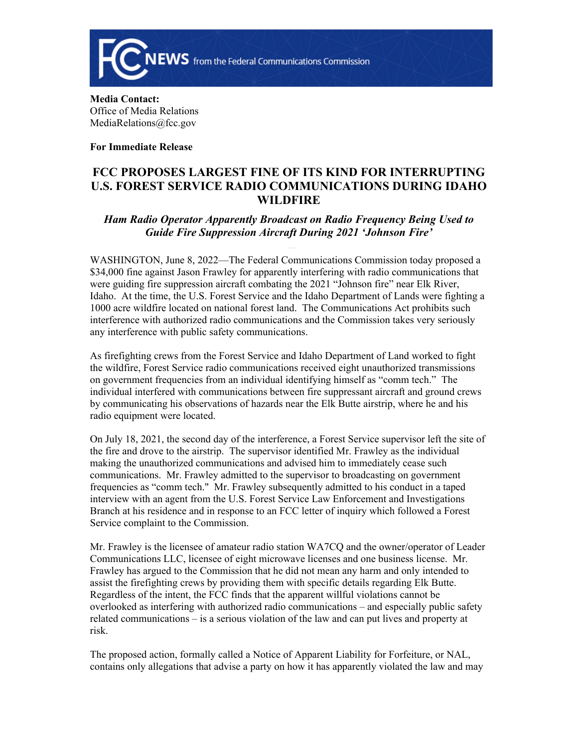

**Media Contact:**  Office of Media Relations MediaRelations@fcc.gov

**For Immediate Release**

## **FCC PROPOSES LARGEST FINE OF ITS KIND FOR INTERRUPTING U.S. FOREST SERVICE RADIO COMMUNICATIONS DURING IDAHO WILDFIRE**

## *Ham Radio Operator Apparently Broadcast on Radio Frequency Being Used to Guide Fire Suppression Aircraft During 2021 'Johnson Fire'*

WASHINGTON, June 8, 2022—The Federal Communications Commission today proposed a \$34,000 fine against Jason Frawley for apparently interfering with radio communications that were guiding fire suppression aircraft combating the 2021 "Johnson fire" near Elk River, Idaho. At the time, the U.S. Forest Service and the Idaho Department of Lands were fighting a 1000 acre wildfire located on national forest land. The Communications Act prohibits such interference with authorized radio communications and the Commission takes very seriously any interference with public safety communications.

As firefighting crews from the Forest Service and Idaho Department of Land worked to fight the wildfire, Forest Service radio communications received eight unauthorized transmissions on government frequencies from an individual identifying himself as "comm tech." The individual interfered with communications between fire suppressant aircraft and ground crews by communicating his observations of hazards near the Elk Butte airstrip, where he and his radio equipment were located.

On July 18, 2021, the second day of the interference, a Forest Service supervisor left the site of the fire and drove to the airstrip. The supervisor identified Mr. Frawley as the individual making the unauthorized communications and advised him to immediately cease such communications. Mr. Frawley admitted to the supervisor to broadcasting on government frequencies as "comm tech." Mr. Frawley subsequently admitted to his conduct in a taped interview with an agent from the U.S. Forest Service Law Enforcement and Investigations Branch at his residence and in response to an FCC letter of inquiry which followed a Forest Service complaint to the Commission.

Mr. Frawley is the licensee of amateur radio station WA7CQ and the owner/operator of Leader Communications LLC, licensee of eight microwave licenses and one business license. Mr. Frawley has argued to the Commission that he did not mean any harm and only intended to assist the firefighting crews by providing them with specific details regarding Elk Butte. Regardless of the intent, the FCC finds that the apparent willful violations cannot be overlooked as interfering with authorized radio communications – and especially public safety related communications – is a serious violation of the law and can put lives and property at risk.

The proposed action, formally called a Notice of Apparent Liability for Forfeiture, or NAL, contains only allegations that advise a party on how it has apparently violated the law and may